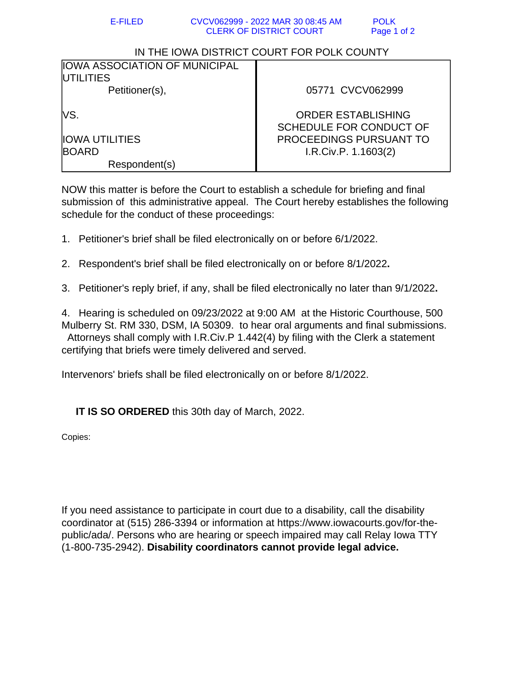## IN THE IOWA DISTRICT COURT FOR POLK COUNTY

| <b>IOWA ASSOCIATION OF MUNICIPAL</b><br><b>UTILITIES</b> |                                                      |
|----------------------------------------------------------|------------------------------------------------------|
| Petitioner(s),                                           | 05771 CVCV062999                                     |
| lvs.                                                     | <b>ORDER ESTABLISHING</b><br>SCHEDULE FOR CONDUCT OF |
| <b>IOWA UTILITIES</b>                                    | <b>PROCEEDINGS PURSUANT TO</b>                       |
| <b>BOARD</b>                                             | I.R.Civ.P. 1.1603(2)                                 |
| Respondent(s)                                            |                                                      |

NOW this matter is before the Court to establish a schedule for briefing and final submission of this administrative appeal. The Court hereby establishes the following schedule for the conduct of these proceedings:

- 1. Petitioner's brief shall be filed electronically on or before 6/1/2022.
- 2. Respondent's brief shall be filed electronically on or before 8/1/2022**.**
- 3. Petitioner's reply brief, if any, shall be filed electronically no later than 9/1/2022**.**

4. Hearing is scheduled on 09/23/2022 at 9:00 AM at the Historic Courthouse, 500 Mulberry St. RM 330, DSM, IA 50309. to hear oral arguments and final submissions. Attorneys shall comply with I.R.Civ.P 1.442(4) by filing with the Clerk a statement certifying that briefs were timely delivered and served.

Intervenors' briefs shall be filed electronically on or before 8/1/2022.

**IT IS SO ORDERED** this 30th day of March, 2022.

Copies:

If you need assistance to participate in court due to a disability, call the disability coordinator at (515) 286-3394 or information at https://www.iowacourts.gov/for-thepublic/ada/. Persons who are hearing or speech impaired may call Relay Iowa TTY (1-800-735-2942). **Disability coordinators cannot provide legal advice.**